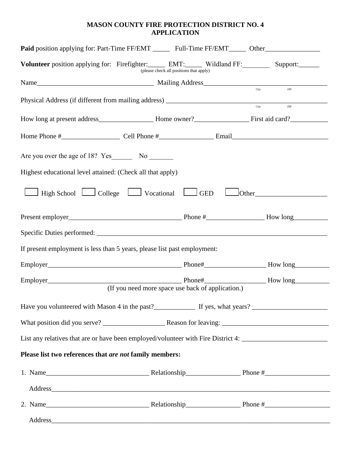## **MASON COUNTY FIRE PROTECTION DISTRICT NO. 4 APPLICATION**

|                                                            | <b>Paid</b> position applying for: Part-Time FF/EMT ________ Full-Time FF/EMT _______ Other                                                                                                                                    |                                                                                                                                                                                                                                |
|------------------------------------------------------------|--------------------------------------------------------------------------------------------------------------------------------------------------------------------------------------------------------------------------------|--------------------------------------------------------------------------------------------------------------------------------------------------------------------------------------------------------------------------------|
|                                                            | Volunteer position applying for: Firefighter: EMT: Wildland FF: Support: Support:<br>(please check all positions that apply)                                                                                                   |                                                                                                                                                                                                                                |
|                                                            |                                                                                                                                                                                                                                |                                                                                                                                                                                                                                |
|                                                            |                                                                                                                                                                                                                                | City<br>$\frac{1}{\text{ZIP}}$                                                                                                                                                                                                 |
|                                                            |                                                                                                                                                                                                                                | City<br>$\ensuremath{\mathrm{ZIP}}$                                                                                                                                                                                            |
|                                                            |                                                                                                                                                                                                                                |                                                                                                                                                                                                                                |
|                                                            |                                                                                                                                                                                                                                |                                                                                                                                                                                                                                |
|                                                            |                                                                                                                                                                                                                                |                                                                                                                                                                                                                                |
| Highest educational level attained: (Check all that apply) |                                                                                                                                                                                                                                |                                                                                                                                                                                                                                |
|                                                            | $\Box$ High School $\Box$ College $\Box$ Vocational $\Box$ GED                                                                                                                                                                 | $\Box$ Other                                                                                                                                                                                                                   |
|                                                            |                                                                                                                                                                                                                                |                                                                                                                                                                                                                                |
|                                                            |                                                                                                                                                                                                                                |                                                                                                                                                                                                                                |
|                                                            | If present employment is less than 5 years, please list past employment:                                                                                                                                                       |                                                                                                                                                                                                                                |
|                                                            |                                                                                                                                                                                                                                |                                                                                                                                                                                                                                |
|                                                            |                                                                                                                                                                                                                                |                                                                                                                                                                                                                                |
|                                                            | (If you need more space use back of application.)                                                                                                                                                                              |                                                                                                                                                                                                                                |
|                                                            |                                                                                                                                                                                                                                |                                                                                                                                                                                                                                |
|                                                            |                                                                                                                                                                                                                                |                                                                                                                                                                                                                                |
|                                                            |                                                                                                                                                                                                                                | List any relatives that are or have been employed/volunteer with Fire District 4: ____________________________                                                                                                                 |
| Please list two references that are not family members:    |                                                                                                                                                                                                                                |                                                                                                                                                                                                                                |
|                                                            |                                                                                                                                                                                                                                |                                                                                                                                                                                                                                |
|                                                            | Address and the contract of the contract of the contract of the contract of the contract of the contract of the contract of the contract of the contract of the contract of the contract of the contract of the contract of th |                                                                                                                                                                                                                                |
|                                                            |                                                                                                                                                                                                                                |                                                                                                                                                                                                                                |
|                                                            |                                                                                                                                                                                                                                | Address and the contract of the contract of the contract of the contract of the contract of the contract of the contract of the contract of the contract of the contract of the contract of the contract of the contract of th |